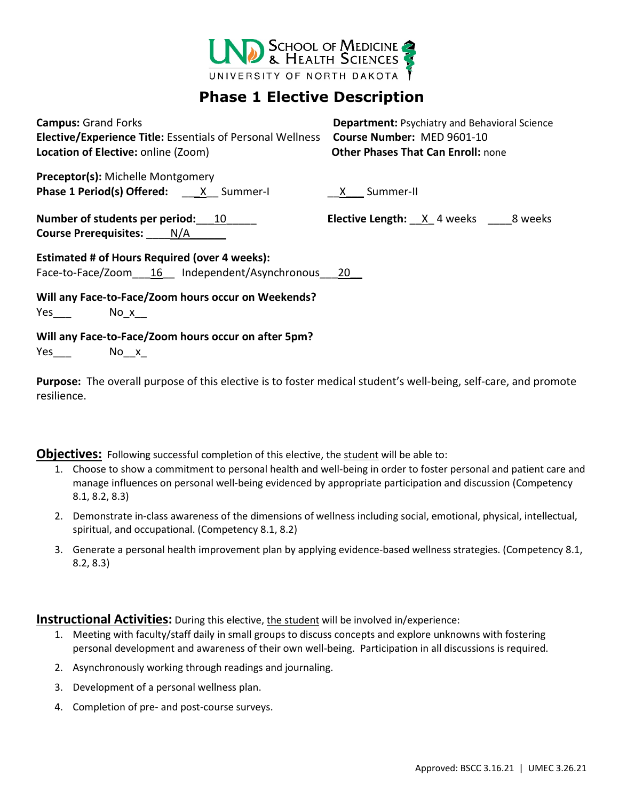

## **Phase 1 Elective Description**

**Campus:** Grand Forks **Department:** Psychiatry and Behavioral Science **Elective/Experience Title:** Essentials of Personal Wellness **Course Number:** MED 9601-10 **Location of Elective:** online (Zoom) **Other Phases That Can Enroll:** none

**Preceptor(s):** Michelle Montgomery **Phase 1 Period(s) Offered:** \_\_\_\_\_X\_\_ Summer-I \_\_\_\_\_\_\_\_\_\_ <u>X\_\_\_</u> Summer-II

**Course Prerequisites:** N/A

**Number of students per period:** 10 Letti**ve Length:**  $X$ <sub>1</sub> 4 weeks \_\_\_8 weeks

**Estimated # of Hours Required (over 4 weeks):** Face-to-Face/Zoom 16 Independent/Asynchronous 20

**Will any Face-to-Face/Zoom hours occur on Weekends?** Yes No x

**Will any Face-to-Face/Zoom hours occur on after 5pm?**

Yes No\_x

**Purpose:** The overall purpose of this elective is to foster medical student's well-being, self-care, and promote resilience.

**Objectives:** Following successful completion of this elective, the student will be able to:

- 1. Choose to show a commitment to personal health and well-being in order to foster personal and patient care and manage influences on personal well-being evidenced by appropriate participation and discussion (Competency 8.1, 8.2, 8.3)
- 2. Demonstrate in-class awareness of the dimensions of wellness including social, emotional, physical, intellectual, spiritual, and occupational. (Competency 8.1, 8.2)
- 3. Generate a personal health improvement plan by applying evidence-based wellness strategies. (Competency 8.1, 8.2, 8.3)

**Instructional Activities:** During this elective, the student will be involved in/experience:

- 1. Meeting with faculty/staff daily in small groups to discuss concepts and explore unknowns with fostering personal development and awareness of their own well-being. Participation in all discussions is required.
- 2. Asynchronously working through readings and journaling.
- 3. Development of a personal wellness plan.
- 4. Completion of pre- and post-course surveys.